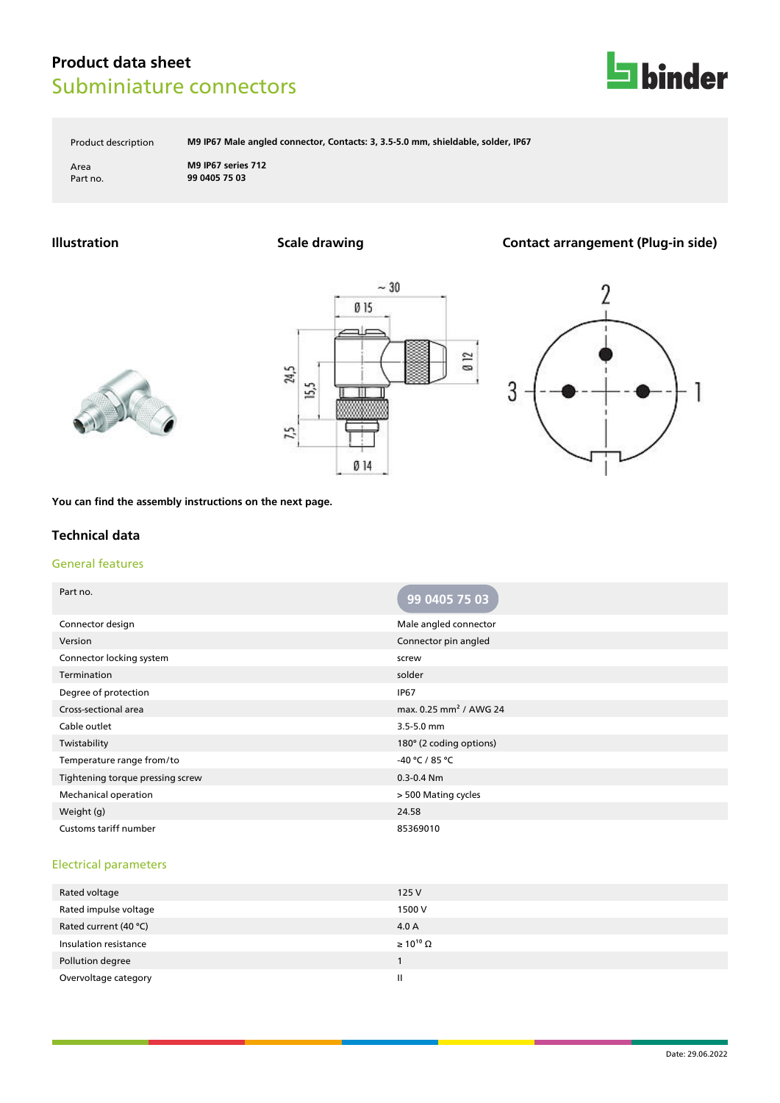

Product description **M9 IP67 Male angled connector, Contacts: 3, 3.5-5.0 mm, shieldable, solder, IP67**

Area **M9 IP67 series 712** Part no. **99 0405 75 03**

## **Illustration Scale drawing Contact arrangement (Plug-in side)**







**You can find the assembly instructions on the next page.**

### **Technical data**

#### General features

| Part no.                         | 99 0405 75 03                      |
|----------------------------------|------------------------------------|
| Connector design                 | Male angled connector              |
| Version                          | Connector pin angled               |
| Connector locking system         | screw                              |
| Termination                      | solder                             |
| Degree of protection             | <b>IP67</b>                        |
| Cross-sectional area             | max. 0.25 mm <sup>2</sup> / AWG 24 |
| Cable outlet                     | 3.5-5.0 mm                         |
| Twistability                     | 180° (2 coding options)            |
| Temperature range from/to        | -40 °C / 85 °C                     |
| Tightening torque pressing screw | $0.3 - 0.4$ Nm                     |
| Mechanical operation             | > 500 Mating cycles                |
| Weight (g)                       | 24.58                              |
| Customs tariff number            | 85369010                           |

#### Electrical parameters

| 125V                  |
|-----------------------|
| 1500 V                |
| 4.0 A                 |
| $\geq 10^{10} \Omega$ |
|                       |
| H                     |
|                       |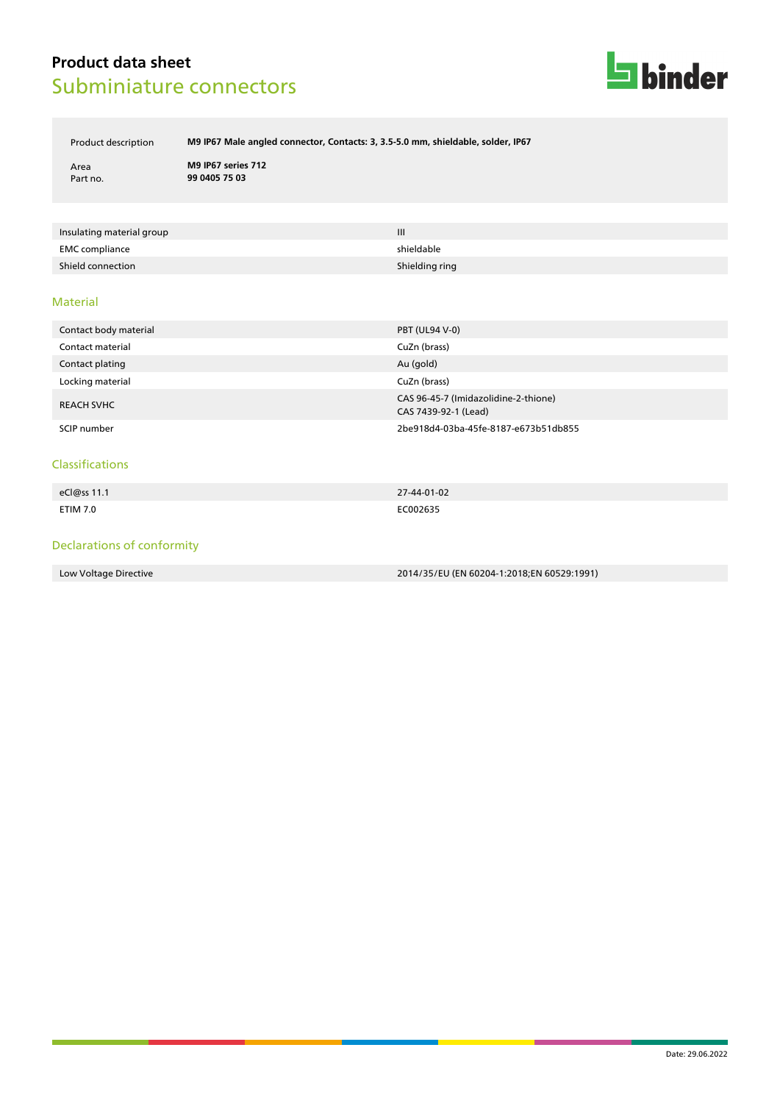

Product description **M9 IP67 Male angled connector, Contacts: 3, 3.5-5.0 mm, shieldable, solder, IP67**

Area **M9 IP67 series 712** Part no. **99 0405 75 03**

| Insulating material group | $\mathbf{III}$ |
|---------------------------|----------------|
| EMC compliance            | shieldable     |
| Shield connection         | Shielding ring |

#### Material

| Contact body material | <b>PBT (UL94 V-0)</b>                                        |
|-----------------------|--------------------------------------------------------------|
| Contact material      | CuZn (brass)                                                 |
| Contact plating       | Au (gold)                                                    |
| Locking material      | CuZn (brass)                                                 |
| <b>REACH SVHC</b>     | CAS 96-45-7 (Imidazolidine-2-thione)<br>CAS 7439-92-1 (Lead) |
| SCIP number           | 2be918d4-03ba-45fe-8187-e673b51db855                         |

#### Classifications

| eCl@ss 11.1 | 27-44-01-02 |
|-------------|-------------|
|             |             |
| ETIM 7.0    | EC002635    |

### Declarations of conformity

Low Voltage Directive 2014/35/EU (EN 60204-1:2018;EN 60529:1991)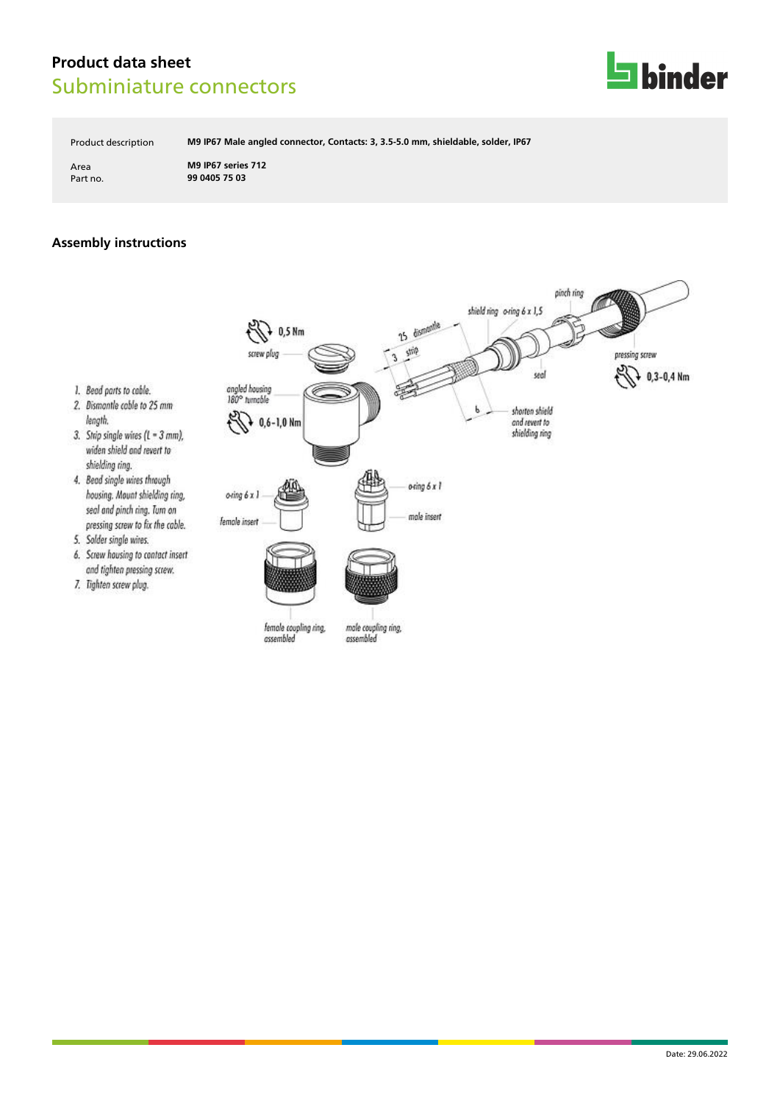

Product description **M9 IP67 Male angled connector, Contacts: 3, 3.5-5.0 mm, shieldable, solder, IP67**

Area **M9 IP67 series 712** Part no. **99 0405 75 03**

### **Assembly instructions**

1. Bead parts to cable.

5. Solder single wires.

7. Tighten screw plug.

widen shield and revert to shielding ring. 4. Bead single wires through

length.